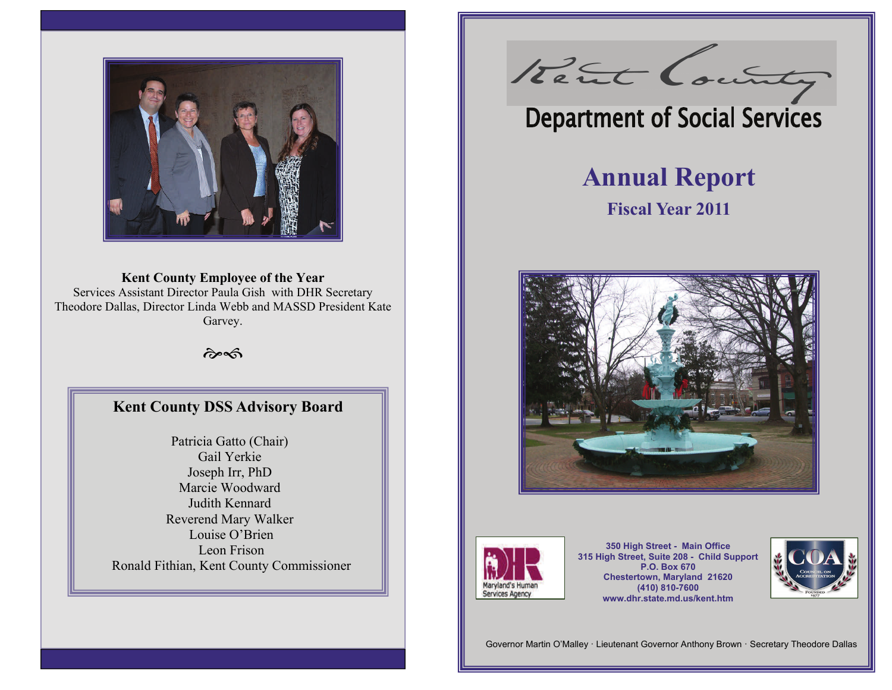

## **Kent County Employee of the Year**  Services Assistant Director Paula Gish with DHR Secretary Theodore Dallas, Director Linda Webb and MASSD President Kate Garvey.

 $\hat{\sigma}$ 

## **Kent County DSS Advisory Board**

Patricia Gatto (Chair) Gail Yerkie Joseph Irr, PhD Marcie Woodward Judith Kennard Reverend Mary Walker Louise O'Brien Leon Frison Ronald Fithian, Kent County Commissioner

Rent County

# **Department of Social Services**

# **Annual Report**

# **Fiscal Year 2011**





**350 High Street - Main Office 315 High Street, Suite 208 - Child Support P.O. Box 670 Chestertown, Maryland 21620 (410) 810-7600 www.dhr.state.md.us/kent.htm** 



Governor Martin O'Malley · Lieutenant Governor Anthony Brown · Secretary Theodore Dallas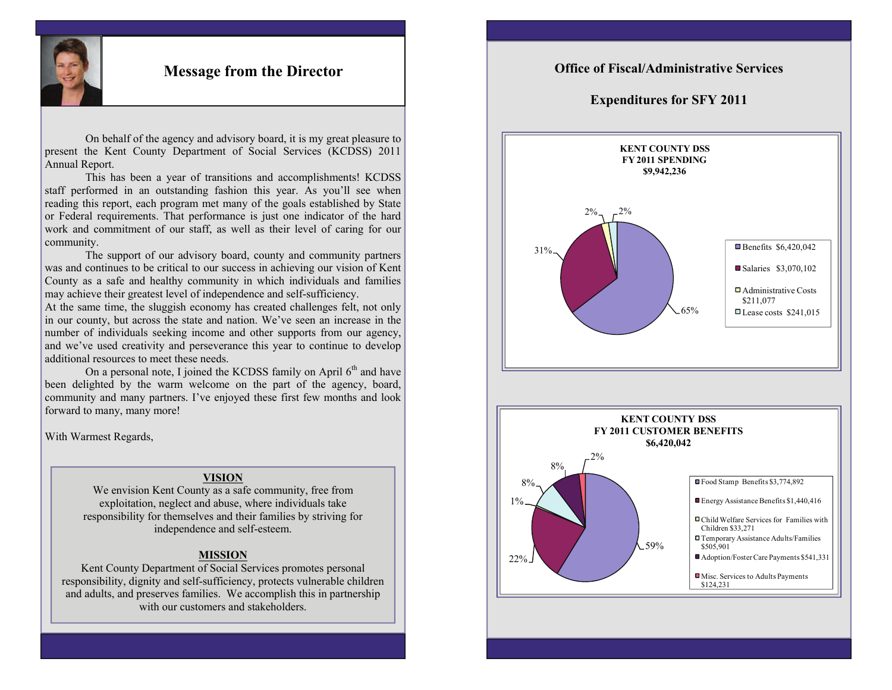

## **Message from the Director**

 On behalf of the agency and advisory board, it is my great pleasure to present the Kent County Department of Social Services (KCDSS) 2011 Annual Report.

 This has been a year of transitions and accomplishments! KCDSS staff performed in an outstanding fashion this year. As you'll see when reading this report, each program met many of the goals established by State or Federal requirements. That performance is just one indicator of the hard work and commitment of our staff, as well as their level of caring for our community.

 The support of our advisory board, county and community partners was and continues to be critical to our success in achieving our vision of Kent County as a safe and healthy community in which individuals and families may achieve their greatest level of independence and self-sufficiency.

At the same time, the sluggish economy has created challenges felt, not only in our county, but across the state and nation. We've seen an increase in the number of individuals seeking income and other supports from our agency, and we've used creativity and perseverance this year to continue to develop additional resources to meet these needs.

On a personal note, I joined the KCDSS family on April  $6<sup>th</sup>$  and have been delighted by the warm welcome on the part of the agency, board, community and many partners. I've enjoyed these first few months and look forward to many, many more!

With Warmest Regards,

#### **VISION**

We envision Kent County as a safe community, free from exploitation, neglect and abuse, where individuals take responsibility for themselves and their families by striving for independence and self-esteem.

#### **MISSION**

Kent County Department of Social Services promotes personal responsibility, dignity and self-sufficiency, protects vulnerable children and adults, and preserves families. We accomplish this in partnership with our customers and stakeholders.

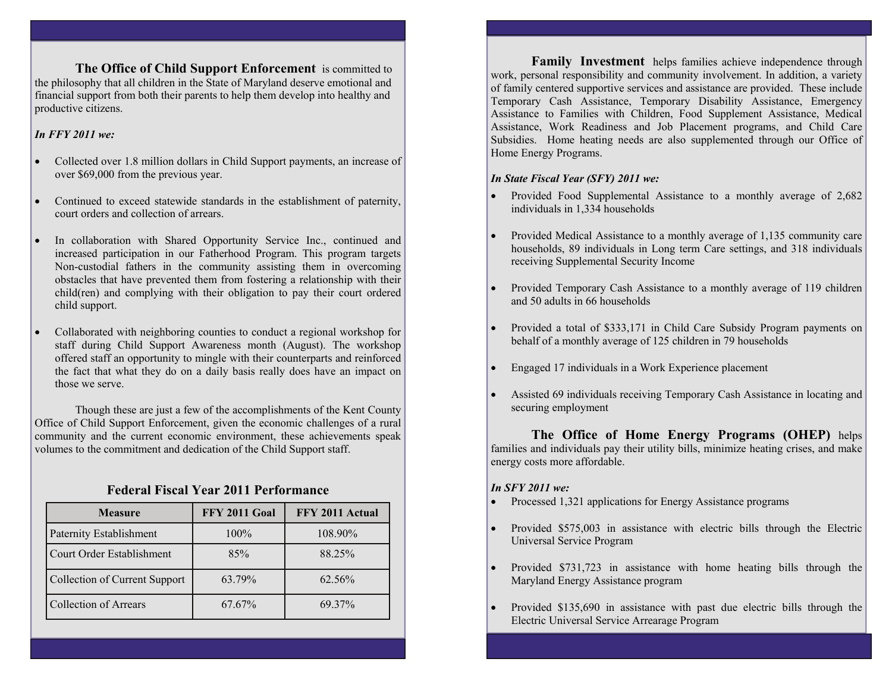**The Office of Child Support Enforcement** is committed to the philosophy that all children in the State of Maryland deserve emotional and financial support from both their parents to help them develop into healthy and productive citizens.

#### *In FFY 2011 we:*

- $\bullet$  Collected over 1.8 million dollars in Child Support payments, an increase of over \$69,000 from the previous year.
- $\bullet$  Continued to exceed statewide standards in the establishment of paternity, court orders and collection of arrears.
- $\bullet$  In collaboration with Shared Opportunity Service Inc., continued and increased participation in our Fatherhood Program. This program targets Non-custodial fathers in the community assisting them in overcoming obstacles that have prevented them from fostering a relationship with their child(ren) and complying with their obligation to pay their court ordered child support.
- $\bullet$  Collaborated with neighboring counties to conduct a regional workshop for staff during Child Support Awareness month (August). The workshop offered staff an opportunity to mingle with their counterparts and reinforced the fact that what they do on a daily basis really does have an impact on those we serve.

 Though these are just a few of the accomplishments of the Kent County Office of Child Support Enforcement, given the economic challenges of a rural community and the current economic environment, these achievements speak volumes to the commitment and dedication of the Child Support staff.

### **Federal Fiscal Year 2011 Performance**

| <b>Measure</b>                | <b>FFY 2011 Goal</b> | FFY 2011 Actual |
|-------------------------------|----------------------|-----------------|
| Paternity Establishment       | $100\%$              | 108.90%         |
| Court Order Establishment     | 85%                  | 88.25%          |
| Collection of Current Support | 63.79%               | 62.56%          |
| <b>Collection of Arrears</b>  | 67.67%               | 69.37%          |

 **Family Investment** helps families achieve independence through work, personal responsibility and community involvement. In addition, a variety of family centered supportive services and assistance are provided. These include Temporary Cash Assistance, Temporary Disability Assistance, Emergency Assistance to Families with Children, Food Supplement Assistance, Medical Assistance, Work Readiness and Job Placement programs, and Child Care Subsidies. Home heating needs are also supplemented through our Office of Home Energy Programs.

#### *In State Fiscal Year (SFY) 2011 we:*

- Provided Food Supplemental Assistance to a monthly average of 2,682 individuals in 1,334 households
- Provided Medical Assistance to a monthly average of 1,135 community care households, 89 individuals in Long term Care settings, and 318 individuals receiving Supplemental Security Income
- Provided Temporary Cash Assistance to a monthly average of 119 children and 50 adults in 66 households
- Provided a total of \$333,171 in Child Care Subsidy Program payments on behalf of a monthly average of 125 children in 79 households
- $\bullet$ Engaged 17 individuals in a Work Experience placement
- Assisted 69 individuals receiving Temporary Cash Assistance in locating and securing employment

**The Office of Home Energy Programs (OHEP)** helps families and individuals pay their utility bills, minimize heating crises, and make energy costs more affordable.

### *In SFY 2011 we:*

- Processed 1,321 applications for Energy Assistance programs
- Provided \$575,003 in assistance with electric bills through the Electric Universal Service Program
- Provided \$731,723 in assistance with home heating bills through the Maryland Energy Assistance program
- $\bullet$  Provided \$135,690 in assistance with past due electric bills through the Electric Universal Service Arrearage Program